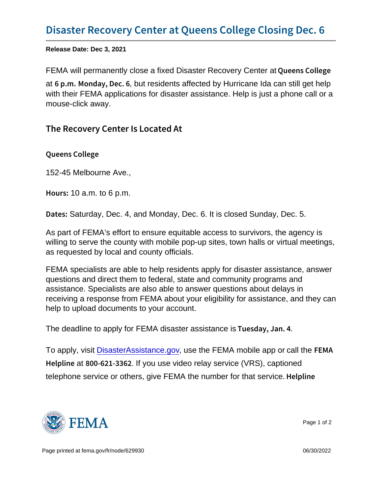Release Date: Dec 3, 2021

FEMA will permanently close a fixed Disaster Recovery Center at Queens College

at  $6$  p. mM onday, Deteresidents affected by Hurricane Ida can still get help with their FEMA applications for disaster assistance. Help is just a phone call or a mouse-click away.

## The Recovery Center Is Located At

Queens College

152-45 Melbourne Ave.,

Hou  $\texttt{10}$  a.m. to 6 p.m.

D a t eStaturday, Dec. 4, and Monday, Dec. 6. It is closed Sunday, Dec. 5.

As part of FEMA's effort to ensure equitable access to survivors, the agency is willing to serve the county with mobile pop-up sites, town halls or virtual meetings, as requested by local and county officials.

FEMA specialists are able to help residents apply for disaster assistance, answer questions and direct them to federal, state and community programs and assistance. Specialists are also able to answer questions about delays in receiving a response from FEMA about your eligibility for assistance, and they can help to upload documents to your account.

The deadline to apply for FEMA disaster assistance is Tuesday,  $\sqrt{a}$ , Jan. 4

To apply, visit [DisasterAssistance.gov](http://www.DisasterAssistance.gov), use the FEMA mobile app or call the FEMA Helplan  $800 - 621$ -18 $\omega$  as video relay service (VRS), captioned telephone service or others, give FEMA the number for that service. Helpline

![](_page_0_Picture_13.jpeg)

Page 1 of 2

Page printed at [fema.gov/fr/node/629930](https://www.fema.gov/fr/node/629930) **Details and the set of the set of the set of the set of the set of the set of the set of the set of the set of the set of the set of the set of the set of the set of the set of the**